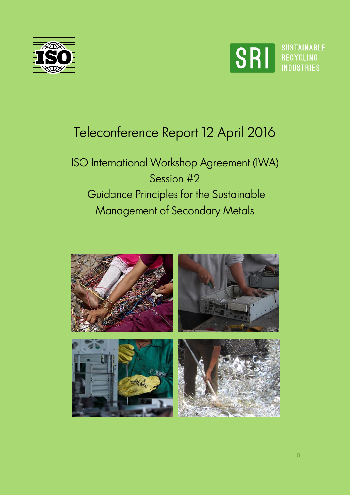



# Teleconference Report 12 April 2016

ISO International Workshop Agreement (IWA) Session #2 Guidance Principles for the Sustainable Management of Secondary Metals

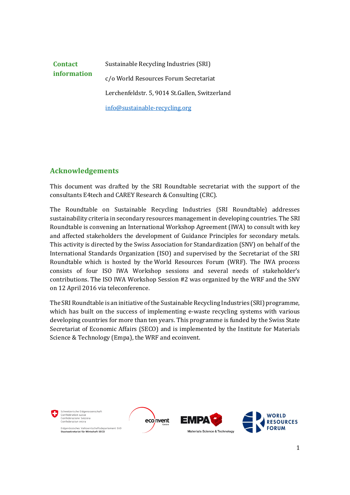#### **Contact information**  Sustainable Recycling Industries (SRI) c/o World Resources Forum Secretariat Lerchenfeldstr. 5, 9014 St.Gallen, Switzerland [info@sustainable-recycling.org](mailto:info@sustainable-recycling.org)

## **Acknowledgements**

This document was drafted by the SRI Roundtable secretariat with the support of the consultants E4tech and CAREY Research & Consulting (CRC).

The Roundtable on Sustainable Recycling Industries (SRI Roundtable) addresses sustainability criteria in secondary resources management in developing countries. The SRI Roundtable is convening an International Workshop Agreement (IWA) to consult with key and affected stakeholders the development of Guidance Principles for secondary metals. This activity is directed by the Swiss Association for Standardization (SNV) on behalf of the International Standards Organization (ISO) and supervised by the Secretariat of the SRI Roundtable which is hosted by the World Resources Forum (WRF). The IWA process consists of four ISO IWA Workshop sessions and several needs of stakeholder's contributions. The ISO IWA Workshop Session #2 was organized by the WRF and the SNV on 12 April 2016 via teleconference.

The SRI Roundtable is an initiative of the Sustainable Recycling Industries (SRI) programme, which has built on the success of implementing e-waste recycling systems with various developing countries for more than ten years. This programme is funded by the Swiss State Secretariat of Economic Affairs (SECO) and is implemented by the Institute for Materials Science & Technology (Empa), the WRF and ecoinvent.

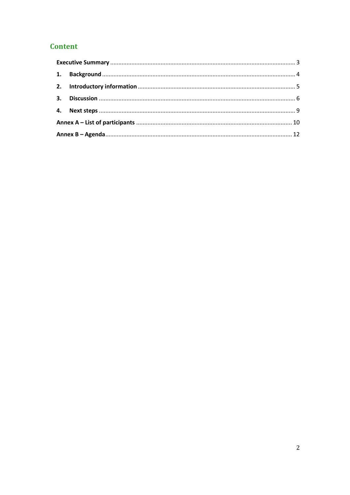## **Content**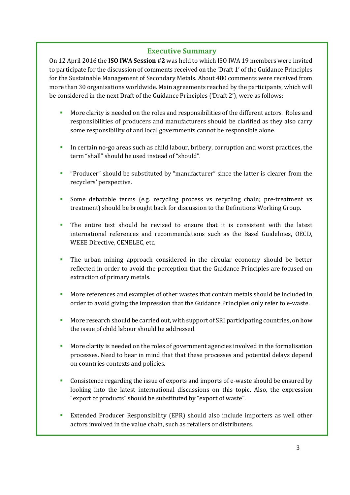#### **Executive Summary**

On 12 April 2016 the **ISO IWA Session #2** was held to which ISO IWA 19 members were invited to participate for the discussion of comments received on the 'Draft 1' of the Guidance Principles for the Sustainable Management of Secondary Metals. About 480 comments were received from more than 30 organisations worldwide. Main agreements reached by the participants, which will be considered in the next Draft of the Guidance Principles ('Draft 2'), were as follows:

- **More clarity is needed on the roles and responsibilities of the different actors. Roles and** responsibilities of producers and manufacturers should be clarified as they also carry some responsibility of and local governments cannot be responsible alone.
- In certain no-go areas such as child labour, bribery, corruption and worst practices, the term "shall" should be used instead of "should".
- "Producer" should be substituted by "manufacturer" since the latter is clearer from the recyclers' perspective.
- Some debatable terms (e.g. recycling process vs recycling chain; pre-treatment vs treatment) should be brought back for discussion to the Definitions Working Group.
- The entire text should be revised to ensure that it is consistent with the latest international references and recommendations such as the Basel Guidelines, OECD, WEEE Directive, CENELEC, etc.
- The urban mining approach considered in the circular economy should be better reflected in order to avoid the perception that the Guidance Principles are focused on extraction of primary metals.
- More references and examples of other wastes that contain metals should be included in order to avoid giving the impression that the Guidance Principles only refer to e-waste.
- More research should be carried out, with support of SRI participating countries, on how the issue of child labour should be addressed.
- More clarity is needed on the roles of government agencies involved in the formalisation processes. Need to bear in mind that that these processes and potential delays depend on countries contexts and policies.
- Consistence regarding the issue of exports and imports of e-waste should be ensured by looking into the latest international discussions on this topic. Also, the expression "export of products" should be substituted by "export of waste".
- Extended Producer Responsibility (EPR) should also include importers as well other actors involved in the value chain, such as retailers or distributers.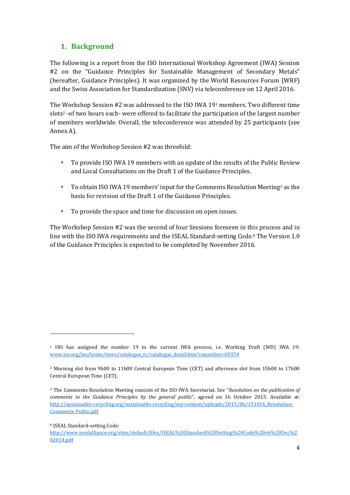## <span id="page-4-0"></span>**1. Background**

The following is a report from the ISO International Workshop Agreement (IWA) Session #2 on the "Guidance Principles for Sustainable Management of Secondary Metals" (hereafter, Guidance Principles). It was organized by the World Resources Forum (WRF) and the Swiss Association for Standardization (SNV) via teleconference on 12 April 2016.

The Workshop Session #2 was addressed to the ISO IWA 19<sup>1</sup> members. Two different time slots<sup>2</sup> -of two hours each- were offered to facilitate the participation of the largest number of members worldwide. Overall, the teleconference was attended by 25 participants (see Annex A).

The aim of the Workshop Session #2 was threefold:

- To provide ISO IWA 19 members with an update of the results of the Public Review and Local Consultations on the Draft 1 of the Guidance Principles.
- To obtain ISO IWA 19 members' input for the Comments Resolution Meeting<sup>3</sup> as the basis for revision of the Draft 1 of the Guidance Principles.
- To provide the space and time for discussion on open issues.

The Workshop Session #2 was the second of four Sessions foreseen in this process and in line with the ISO IWA requirements and the ISEAL Standard-setting Code. <sup>4</sup> The Version 1.0 of the Guidance Principles is expected to be completed by November 2016.

**.** 

<sup>1</sup> ISO has assigned the number 19 to the current IWA process, i.e. Working Draft (WD) IWA 19: [www.iso.org/iso/home/store/catalogue\\_tc/catalogue\\_detail.htm?csnumber=69354](http://www.iso.org/iso/home/store/catalogue_tc/catalogue_detail.htm?csnumber=69354)

<sup>2</sup> Morning slot from 9h00 to 11h00 Central European Time (CET) and afternoon slot from 15h00 to 17h00 Central European Time (CET).

<sup>3</sup> The Comments Resolution Meeting consists of the ISO IWA Secretariat. See "*[Resolution on the publication of](http://sustainable-recycling.org/sustainable-recycling/wp-content/uploads/2015/06/151016_Resolution-Comments-Public.pdf)  [comments to the Guidance Principles by the general public](http://sustainable-recycling.org/sustainable-recycling/wp-content/uploads/2015/06/151016_Resolution-Comments-Public.pdf)*", agreed on 16 October 2015. Available at: [http://sustainable-recycling.org/sustainable-recycling/wp-content/uploads/2015/06/151016\\_Resolution-](http://sustainable-recycling.org/sustainable-recycling/wp-content/uploads/2015/06/151016_Resolution-Comments-Public.pdf)[Comments-Public.pdf](http://sustainable-recycling.org/sustainable-recycling/wp-content/uploads/2015/06/151016_Resolution-Comments-Public.pdf)

<sup>4</sup> ISEAL Standard-setting Code:

[http://www.isealalliance.org/sites/default/files/ISEAL%20Standard%20Setting%20Code%20v6%20Dec%2](http://www.isealalliance.org/sites/default/files/ISEAL%20Standard%20Setting%20Code%20v6%20Dec%202014.pdf) [02014.pdf](http://www.isealalliance.org/sites/default/files/ISEAL%20Standard%20Setting%20Code%20v6%20Dec%202014.pdf)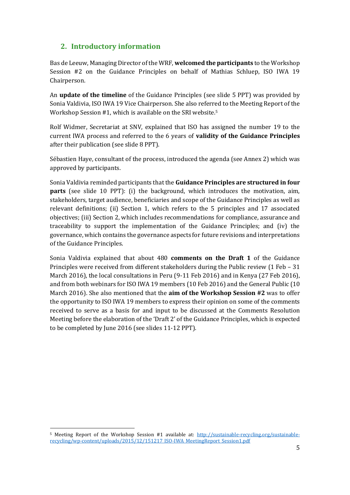### <span id="page-5-0"></span>**2. Introductory information**

Bas de Leeuw, Managing Director of the WRF, **welcomed the participants** to the Workshop Session #2 on the Guidance Principles on behalf of Mathias Schluep, ISO IWA 19 Chairperson.

An **update of the timeline** of the Guidance Principles (see slide 5 PPT) was provided by Sonia Valdivia, ISO IWA 19 Vice Chairperson. She also referred to the Meeting Report of the Workshop Session #1, which is available on the SRI website.<sup>5</sup>

Rolf Widmer, Secretariat at SNV, explained that ISO has assigned the number 19 to the current IWA process and referred to the 6 years of **validity of the Guidance Principles** after their publication (see slide 8 PPT).

Sébastien Haye, consultant of the process, introduced the agenda (see Annex 2) which was approved by participants.

Sonia Valdivia reminded participants that the **Guidance Principles are structured in four parts** (see slide 10 PPT): (i) the background, which introduces the motivation, aim, stakeholders, target audience, beneficiaries and scope of the Guidance Principles as well as relevant definitions; (ii) Section 1, which refers to the 5 principles and 17 associated objectives; (iii) Section 2, which includes recommendations for compliance, assurance and traceability to support the implementation of the Guidance Principles; and (iv) the governance, which contains the governance aspects for future revisions and interpretations of the Guidance Principles.

Sonia Valdivia explained that about 480 **comments on the Draft 1** of the Guidance Principles were received from different stakeholders during the Public review (1 Feb – 31 March 2016), the local consultations in Peru (9-11 Feb 2016) and in Kenya (27 Feb 2016), and from both webinars for ISO IWA 19 members (10 Feb 2016) and the General Public (10 March 2016). She also mentioned that the **aim of the Workshop Session #2** was to offer the opportunity to ISO IWA 19 members to express their opinion on some of the comments received to serve as a basis for and input to be discussed at the Comments Resolution Meeting before the elaboration of the 'Draft 2' of the Guidance Principles, which is expected to be completed by June 2016 (see slides 11-12 PPT).

**.** 

<sup>5</sup> Meeting Report of the Workshop Session #1 available at: [http://sustainable-recycling.org/sustainable](http://sustainable-recycling.org/sustainable-recycling/wp-content/uploads/2015/12/151217_ISO-IWA_MeetingReport_Session1.pdf)[recycling/wp-content/uploads/2015/12/151217\\_ISO-IWA\\_MeetingReport\\_Session1.pdf](http://sustainable-recycling.org/sustainable-recycling/wp-content/uploads/2015/12/151217_ISO-IWA_MeetingReport_Session1.pdf)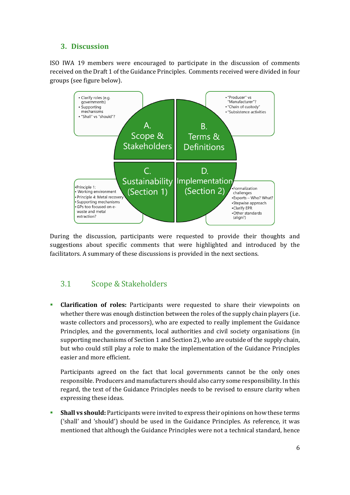#### <span id="page-6-0"></span>**3. Discussion**

ISO IWA 19 members were encouraged to participate in the discussion of comments received on the Draft 1 of the Guidance Principles. Comments received were divided in four groups (see figure below).



During the discussion, participants were requested to provide their thoughts and suggestions about specific comments that were highlighted and introduced by the facilitators. A summary of these discussions is provided in the next sections.

## 3.1 Scope & Stakeholders

 **Clarification of roles:** Participants were requested to share their viewpoints on whether there was enough distinction between the roles of the supply chain players (i.e. waste collectors and processors), who are expected to really implement the Guidance Principles, and the governments, local authorities and civil society organisations (in supporting mechanisms of Section 1 and Section 2), who are outside of the supply chain, but who could still play a role to make the implementation of the Guidance Principles easier and more efficient.

Participants agreed on the fact that local governments cannot be the only ones responsible. Producers and manufacturers should also carry some responsibility. In this regard, the text of the Guidance Principles needs to be revised to ensure clarity when expressing these ideas.

 **Shall vs should:** Participants were invited to express their opinions on how these terms ('shall' and 'should') should be used in the Guidance Principles. As reference, it was mentioned that although the Guidance Principles were not a technical standard, hence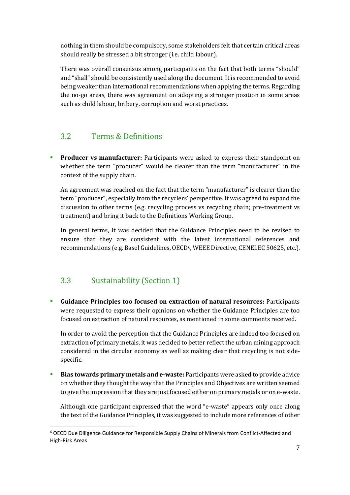nothing in them should be compulsory, some stakeholders felt that certain critical areas should really be stressed a bit stronger (i.e. child labour).

There was overall consensus among participants on the fact that both terms "should" and "shall" should be consistently used along the document. It is recommended to avoid being weaker than international recommendations when applying the terms. Regarding the no-go areas, there was agreement on adopting a stronger position in some areas such as child labour, bribery, corruption and worst practices.

## 3.2 Terms & Definitions

**Producer vs manufacturer:** Participants were asked to express their standpoint on whether the term "producer" would be clearer than the term "manufacturer" in the context of the supply chain.

An agreement was reached on the fact that the term "manufacturer" is clearer than the term "producer", especially from the recyclers' perspective. It was agreed to expand the discussion to other terms (e.g. recycling process vs recycling chain; pre-treatment vs treatment) and bring it back to the Definitions Working Group.

In general terms, it was decided that the Guidance Principles need to be revised to ensure that they are consistent with the latest international references and recommendations (e.g. Basel Guidelines, OECD6, WEEE Directive, CENELEC 50625, etc.).

## 3.3 Sustainability (Section 1)

**.** 

 **Guidance Principles too focused on extraction of natural resources:** Participants were requested to express their opinions on whether the Guidance Principles are too focused on extraction of natural resources, as mentioned in some comments received.

In order to avoid the perception that the Guidance Principles are indeed too focused on extraction of primary metals, it was decided to better reflect the urban mining approach considered in the circular economy as well as making clear that recycling is not sidespecific.

 **Bias towards primary metals and e-waste:** Participants were asked to provide advice on whether they thought the way that the Principles and Objectives are written seemed to give the impression that they are just focused either on primary metals or on e-waste.

Although one participant expressed that the word "e-waste" appears only once along the text of the Guidance Principles, it was suggested to include more references of other

<sup>6</sup> OECD Due Diligence Guidance for Responsible Supply Chains of Minerals from Conflict-Affected and High-Risk Areas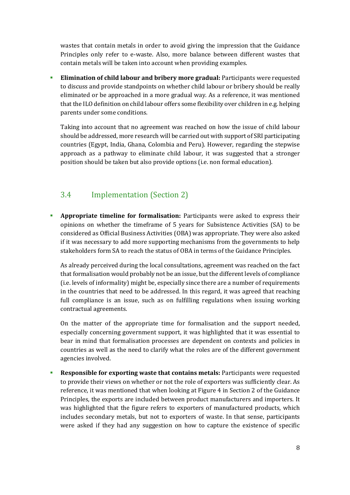wastes that contain metals in order to avoid giving the impression that the Guidance Principles only refer to e-waste. Also, more balance between different wastes that contain metals will be taken into account when providing examples.

 **Elimination of child labour and bribery more gradual:** Participants were requested to discuss and provide standpoints on whether child labour or bribery should be really eliminated or be approached in a more gradual way. As a reference, it was mentioned that the ILO definition on child labour offers some flexibility over children in e.g. helping parents under some conditions.

Taking into account that no agreement was reached on how the issue of child labour should be addressed, more research will be carried out with support of SRI participating countries (Egypt, India, Ghana, Colombia and Peru). However, regarding the stepwise approach as a pathway to eliminate child labour, it was suggested that a stronger position should be taken but also provide options (i.e. non formal education).

## 3.4 Implementation (Section 2)

**Appropriate timeline for formalisation:** Participants were asked to express their opinions on whether the timeframe of 5 years for Subsistence Activities (SA) to be considered as Official Business Activities (OBA) was appropriate. They were also asked if it was necessary to add more supporting mechanisms from the governments to help stakeholders form SA to reach the status of OBA in terms of the Guidance Principles.

As already perceived during the local consultations, agreement was reached on the fact that formalisation would probably not be an issue, but the different levels of compliance (i.e. levels of informality) might be, especially since there are a number of requirements in the countries that need to be addressed. In this regard, it was agreed that reaching full compliance is an issue, such as on fulfilling regulations when issuing working contractual agreements.

On the matter of the appropriate time for formalisation and the support needed, especially concerning government support, it was highlighted that it was essential to bear in mind that formalisation processes are dependent on contexts and policies in countries as well as the need to clarify what the roles are of the different government agencies involved.

 **Responsible for exporting waste that contains metals:** Participants were requested to provide their views on whether or not the role of exporters was sufficiently clear. As reference, it was mentioned that when looking at Figure 4 in Section 2 of the Guidance Principles, the exports are included between product manufacturers and importers. It was highlighted that the figure refers to exporters of manufactured products, which includes secondary metals, but not to exporters of waste. In that sense, participants were asked if they had any suggestion on how to capture the existence of specific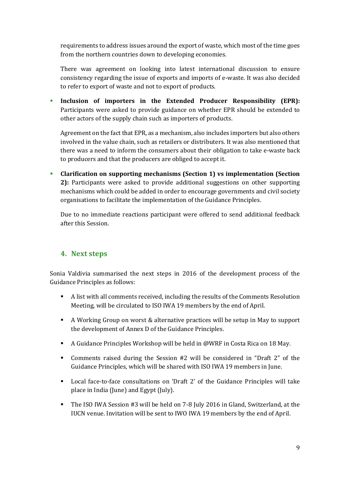requirements to address issues around the export of waste, which most of the time goes from the northern countries down to developing economies.

There was agreement on looking into latest international discussion to ensure consistency regarding the issue of exports and imports of e-waste. It was also decided to refer to export of waste and not to export of products.

 **Inclusion of importers in the Extended Producer Responsibility (EPR):** Participants were asked to provide guidance on whether EPR should be extended to other actors of the supply chain such as importers of products.

Agreement on the fact that EPR, as a mechanism, also includes importers but also others involved in the value chain, such as retailers or distributers. It was also mentioned that there was a need to inform the consumers about their obligation to take e-waste back to producers and that the producers are obliged to accept it.

 **Clarification on supporting mechanisms (Section 1) vs implementation (Section 2):** Participants were asked to provide additional suggestions on other supporting mechanisms which could be added in order to encourage governments and civil society organisations to facilitate the implementation of the Guidance Principles.

Due to no immediate reactions participant were offered to send additional feedback after this Session.

#### <span id="page-9-0"></span>**4. Next steps**

Sonia Valdivia summarised the next steps in 2016 of the development process of the Guidance Principles as follows:

- A list with all comments received, including the results of the Comments Resolution Meeting, will be circulated to ISO IWA 19 members by the end of April.
- A Working Group on worst & alternative practices will be setup in May to support the development of Annex D of the Guidance Principles.
- A Guidance Principles Workshop will be held in @WRF in Costa Rica on 18 May.
- Comments raised during the Session #2 will be considered in "Draft 2" of the Guidance Principles, which will be shared with ISO IWA 19 members in June.
- Local face-to-face consultations on 'Draft 2' of the Guidance Principles will take place in India (June) and Egypt (July).
- <span id="page-9-1"></span> The ISO IWA Session #3 will be held on 7-8 July 2016 in Gland, Switzerland, at the IUCN venue. Invitation will be sent to IWO IWA 19 members by the end of April.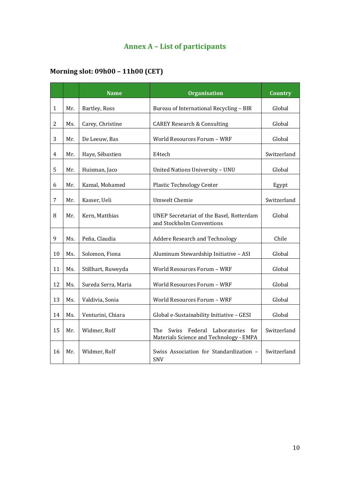# **Annex A – List of participants**

# **Morning slot: 09h00 – 11h00 (CET)**

|                |     | <b>Name</b>         | <b>Organisation</b>                                                                                             | <b>Country</b> |
|----------------|-----|---------------------|-----------------------------------------------------------------------------------------------------------------|----------------|
| 1              | Mr. | Bartley, Ross       | Bureau of International Recycling - BIR                                                                         | Global         |
| $\overline{c}$ | Ms. | Carey, Christine    | <b>CAREY Research &amp; Consulting</b>                                                                          | Global         |
| 3              | Mr. | De Leeuw, Bas       | World Resources Forum - WRF                                                                                     | Global         |
| 4              | Mr. | Haye, Sébastien     | E4tech                                                                                                          | Switzerland    |
| 5              | Mr. | Huisman, Jaco       | United Nations University - UNU                                                                                 | Global         |
| 6              | Mr. | Kamal, Mohamed      | <b>Plastic Technology Center</b>                                                                                | Egypt          |
| 7              | Mr. | Kasser, Ueli        | <b>Umwelt Chemie</b>                                                                                            | Switzerland    |
| 8              | Mr. | Kern, Matthias      | UNEP Secretariat of the Basel, Rotterdam<br>and Stockholm Conventions                                           | Global         |
| 9              | Ms. | Peña, Claudia       | <b>Addere Research and Technology</b>                                                                           | Chile          |
| 10             | Ms. | Solomon, Fiona      | Aluminum Stewardship Initiative - ASI<br>Global                                                                 |                |
| 11             | Ms. | Stillhart, Ruweyda  | World Resources Forum - WRF<br>Global                                                                           |                |
| 12             | Ms. | Sureda Serra, Maria | World Resources Forum - WRF                                                                                     | Global         |
| 13             | Ms. | Valdivia, Sonia     | World Resources Forum - WRF                                                                                     | Global         |
| 14             | Ms. | Venturini, Chiara   | Global e-Sustainability Initiative - GESI                                                                       | Global         |
| 15             | Mr. | Widmer, Rolf        | Laboratories<br>The<br><b>Swiss</b><br>Federal<br>Switzerland<br>for<br>Materials Science and Technology - EMPA |                |
| 16             | Mr. | Widmer, Rolf        | Swiss Association for Standardization -<br>Switzerland<br><b>SNV</b>                                            |                |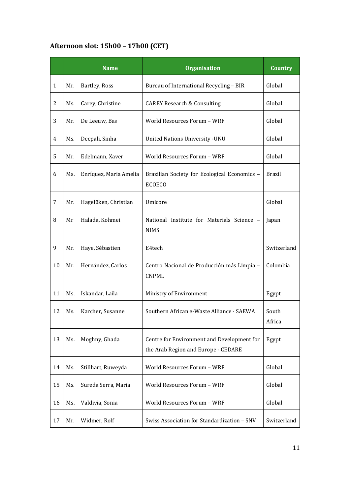# **Afternoon slot: 15h00 – 17h00 (CET)**

|              |     | <b>Name</b>            | <b>Organisation</b>                                                               | <b>Country</b>  |
|--------------|-----|------------------------|-----------------------------------------------------------------------------------|-----------------|
| $\mathbf{1}$ | Mr. | Bartley, Ross          | Bureau of International Recycling - BIR                                           | Global          |
| 2            | Ms. | Carey, Christine       | <b>CAREY Research &amp; Consulting</b>                                            | Global          |
| 3            | Mr. | De Leeuw, Bas          | World Resources Forum - WRF                                                       | Global          |
| 4            | Ms. | Deepali, Sinha         | <b>United Nations University - UNU</b>                                            | Global          |
| 5            | Mr. | Edelmann, Xaver        | World Resources Forum - WRF                                                       | Global          |
| 6            | Ms. | Enríquez, Maria Amelia | Brazilian Society for Ecological Economics -<br><b>ECOECO</b>                     | <b>Brazil</b>   |
| 7            | Mr. | Hagelüken, Christian   | Umicore                                                                           | Global          |
| 8            | Mr  | Halada, Kohmei         | National Institute for Materials Science -<br><b>NIMS</b>                         | Japan           |
| 9            | Mr. | Haye, Sébastien        | E4tech                                                                            | Switzerland     |
| 10           | Mr. | Hernández, Carlos      | Centro Nacional de Producción más Limpia -<br><b>CNPML</b>                        | Colombia        |
| 11           | Ms. | Iskandar, Laila        | Ministry of Environment                                                           | Egypt           |
| 12           | Ms. | Karcher, Susanne       | Southern African e-Waste Alliance - SAEWA                                         | South<br>Africa |
| 13           | Ms. | Moghny, Ghada          | Centre for Environment and Development for<br>the Arab Region and Europe - CEDARE | Egypt           |
| 14           | Ms. | Stillhart, Ruweyda     | World Resources Forum - WRF<br>Global                                             |                 |
| 15           | Ms. | Sureda Serra, Maria    | World Resources Forum - WRF<br>Global                                             |                 |
| 16           | Ms. | Valdivia, Sonia        | World Resources Forum - WRF<br>Global                                             |                 |
| 17           | Mr. | Widmer, Rolf           | Swiss Association for Standardization - SNV<br>Switzerland                        |                 |